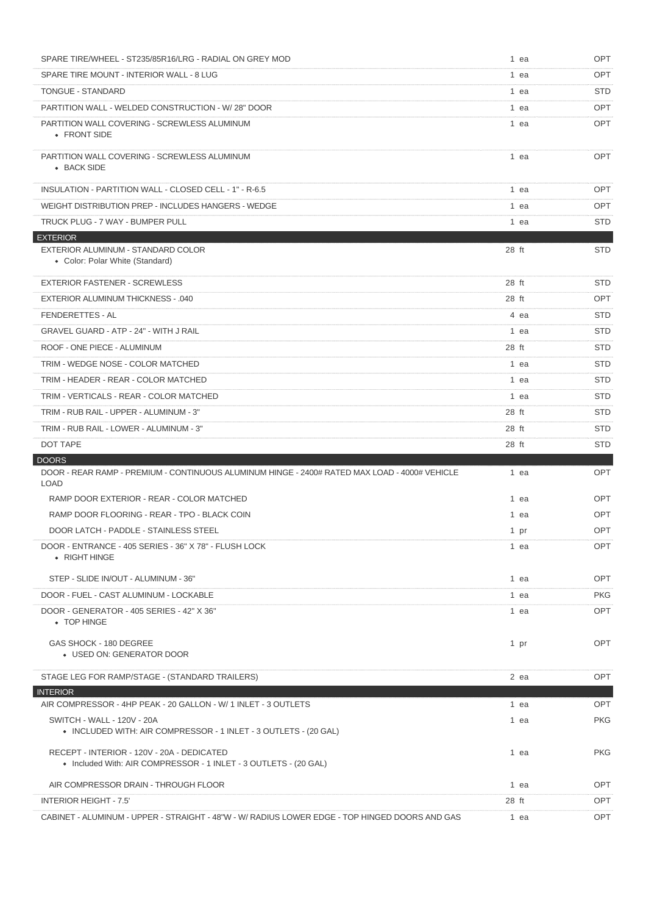| SPARE TIRE/WHEEL - ST235/85R16/LRG - RADIAL ON GREY MOD                                                        |       | 1 ea | <b>OPT</b> |
|----------------------------------------------------------------------------------------------------------------|-------|------|------------|
| SPARE TIRE MOUNT - INTERIOR WALL - 8 LUG                                                                       |       | 1 ea | <b>OPT</b> |
| TONGUE - STANDARD                                                                                              |       | 1 ea | <b>STD</b> |
| PARTITION WALL - WELDED CONSTRUCTION - W/28" DOOR                                                              |       | 1 ea | <b>OPT</b> |
| PARTITION WALL COVERING - SCREWLESS ALUMINUM<br>• FRONT SIDE                                                   |       | 1 ea | OPT        |
| PARTITION WALL COVERING - SCREWLESS ALUMINUM<br>• BACK SIDE                                                    |       | 1 ea | <b>OPT</b> |
| INSULATION - PARTITION WALL - CLOSED CELL - 1" - R-6.5                                                         |       | 1 ea | <b>OPT</b> |
| WEIGHT DISTRIBUTION PREP - INCLUDES HANGERS - WEDGE                                                            |       | 1 ea | <b>OPT</b> |
| TRUCK PLUG - 7 WAY - BUMPER PULL                                                                               |       | 1 ea | <b>STD</b> |
| <b>EXTERIOR</b>                                                                                                |       |      |            |
| EXTERIOR ALUMINUM - STANDARD COLOR<br>• Color: Polar White (Standard)                                          | 28 ft |      | <b>STD</b> |
| <b>EXTERIOR FASTENER - SCREWLESS</b>                                                                           | 28 ft |      | <b>STD</b> |
| <b>EXTERIOR ALUMINUM THICKNESS - .040</b>                                                                      | 28 ft |      | OPT        |
| <b>FENDERETTES - AL</b>                                                                                        |       | 4 ea | <b>STD</b> |
| <b>GRAVEL GUARD - ATP - 24" - WITH J RAIL</b>                                                                  |       | 1 ea | <b>STD</b> |
| ROOF - ONE PIECE - ALUMINUM                                                                                    | 28 ft |      | <b>STD</b> |
| TRIM - WEDGE NOSE - COLOR MATCHED                                                                              |       | 1 ea | <b>STD</b> |
| TRIM - HEADER - REAR - COLOR MATCHED                                                                           |       | 1 ea | <b>STD</b> |
| TRIM - VERTICALS - REAR - COLOR MATCHED                                                                        |       | 1 ea | <b>STD</b> |
| TRIM - RUB RAIL - UPPER - ALUMINUM - 3"                                                                        | 28 ft |      | <b>STD</b> |
| TRIM - RUB RAIL - LOWER - ALUMINUM - 3"                                                                        | 28 ft |      | <b>STD</b> |
|                                                                                                                |       |      |            |
| DOT TAPE                                                                                                       | 28 ft |      | <b>STD</b> |
| <b>DOORS</b>                                                                                                   |       |      |            |
| DOOR - REAR RAMP - PREMIUM - CONTINUOUS ALUMINUM HINGE - 2400# RATED MAX LOAD - 4000# VEHICLE<br><b>LOAD</b>   |       | 1 ea | OPT        |
| RAMP DOOR EXTERIOR - REAR - COLOR MATCHED                                                                      |       | 1 ea | <b>OPT</b> |
| RAMP DOOR FLOORING - REAR - TPO - BLACK COIN                                                                   |       | 1 ea | OPT        |
| DOOR LATCH - PADDLE - STAINLESS STEEL                                                                          |       | 1 pr | OPT        |
| DOOR - ENTRANCE - 405 SERIES - 36" X 78" - FLUSH LOCK<br>• RIGHT HINGE                                         |       | 1 ea | OPT        |
| STEP - SLIDE IN/OUT - ALUMINUM - 36"                                                                           |       | 1 ea | <b>OPT</b> |
| DOOR - FUEL - CAST ALUMINUM - LOCKABLE                                                                         |       | 1 ea | <b>PKG</b> |
| DOOR - GENERATOR - 405 SERIES - 42" X 36"<br>• TOP HINGE                                                       |       | 1 ea | <b>OPT</b> |
| GAS SHOCK - 180 DEGREE<br>• USED ON: GENERATOR DOOR                                                            |       | 1 pr | <b>OPT</b> |
| STAGE LEG FOR RAMP/STAGE - (STANDARD TRAILERS)                                                                 |       | 2 ea | <b>OPT</b> |
| <b>INTERIOR</b>                                                                                                |       |      |            |
| AIR COMPRESSOR - 4HP PEAK - 20 GALLON - W/ 1 INLET - 3 OUTLETS                                                 |       | 1 ea | OPT        |
| SWITCH - WALL - 120V - 20A<br>• INCLUDED WITH: AIR COMPRESSOR - 1 INLET - 3 OUTLETS - (20 GAL)                 |       | 1 ea | <b>PKG</b> |
| RECEPT - INTERIOR - 120V - 20A - DEDICATED<br>• Included With: AIR COMPRESSOR - 1 INLET - 3 OUTLETS - (20 GAL) |       | 1 ea | <b>PKG</b> |
| AIR COMPRESSOR DRAIN - THROUGH FLOOR                                                                           |       | 1 ea | OPT        |
| <b>INTERIOR HEIGHT - 7.5'</b>                                                                                  | 28 ft |      | <b>OPT</b> |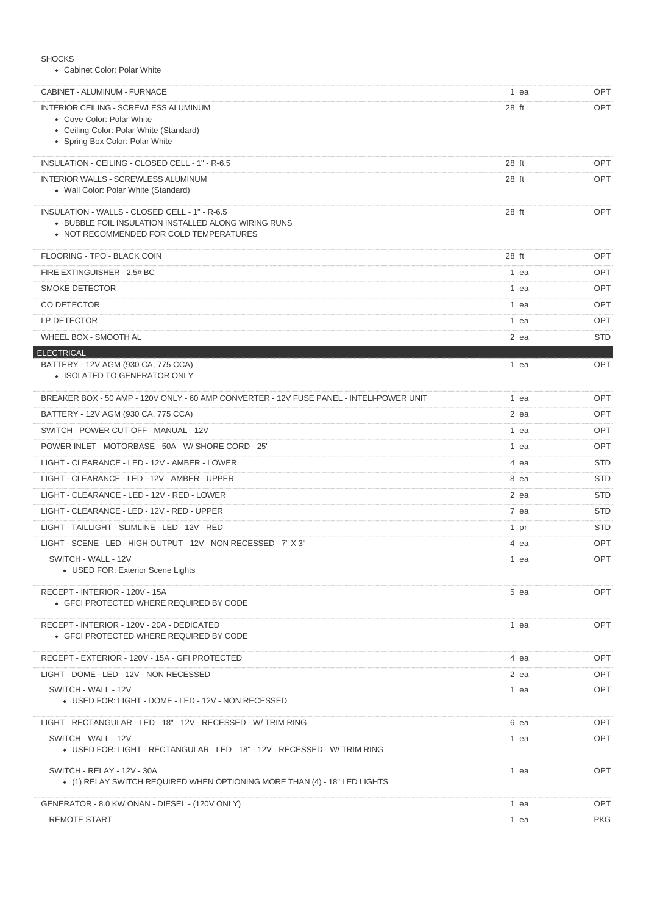| <b>SHOCKS</b> |
|---------------|
|---------------|

Cabinet Color: Polar White

| CABINET - ALUMINUM - FURNACE                                                                            | 1 ea   | OPT                      |
|---------------------------------------------------------------------------------------------------------|--------|--------------------------|
| INTERIOR CEILING - SCREWLESS ALUMINUM                                                                   | 28 ft  | OPT                      |
| • Cove Color: Polar White<br>• Ceiling Color: Polar White (Standard)                                    |        |                          |
| • Spring Box Color: Polar White                                                                         |        |                          |
| INSULATION - CEILING - CLOSED CELL - 1" - R-6.5                                                         | 28 ft  | <b>OPT</b>               |
| <b>INTERIOR WALLS - SCREWLESS ALUMINUM</b>                                                              | 28 ft  | <b>OPT</b>               |
| • Wall Color: Polar White (Standard)                                                                    |        |                          |
| INSULATION - WALLS - CLOSED CELL - 1" - R-6.5                                                           | 28 ft  | <b>OPT</b>               |
| • BUBBLE FOIL INSULATION INSTALLED ALONG WIRING RUNS<br>• NOT RECOMMENDED FOR COLD TEMPERATURES         |        |                          |
|                                                                                                         |        |                          |
| FLOORING - TPO - BLACK COIN                                                                             | 28 ft  | <b>OPT</b>               |
| FIRE EXTINGUISHER - 2.5# BC<br><b>SMOKE DETECTOR</b>                                                    | 1 ea   | <b>OPT</b><br><b>OPT</b> |
| CO DETECTOR                                                                                             | 1 ea   | <b>OPT</b>               |
|                                                                                                         | 1 ea   | <b>OPT</b>               |
| LP DETECTOR<br>WHEEL BOX - SMOOTH AL                                                                    | 1 ea   | <b>STD</b>               |
| <b>ELECTRICAL</b>                                                                                       | $2$ ea |                          |
| BATTERY - 12V AGM (930 CA, 775 CCA)                                                                     | 1 ea   | OPT                      |
| • ISOLATED TO GENERATOR ONLY                                                                            |        |                          |
| BREAKER BOX - 50 AMP - 120V ONLY - 60 AMP CONVERTER - 12V FUSE PANEL - INTELI-POWER UNIT                | 1 ea   | <b>OPT</b>               |
| BATTERY - 12V AGM (930 CA, 775 CCA)                                                                     | $2$ ea | <b>OPT</b>               |
| SWITCH - POWER CUT-OFF - MANUAL - 12V                                                                   | 1 ea   | <b>OPT</b>               |
| POWER INLET - MOTORBASE - 50A - W/ SHORE CORD - 25'                                                     | 1 ea   | <b>OPT</b>               |
| LIGHT - CLEARANCE - LED - 12V - AMBER - LOWER                                                           | 4 ea   | <b>STD</b>               |
| LIGHT - CLEARANCE - LED - 12V - AMBER - UPPER                                                           | 8 ea   | <b>STD</b>               |
| LIGHT - CLEARANCE - LED - 12V - RED - LOWER                                                             | 2 ea   | <b>STD</b>               |
| LIGHT - CLEARANCE - LED - 12V - RED - UPPER                                                             | 7 ea   | <b>STD</b>               |
| LIGHT - TAILLIGHT - SLIMLINE - LED - 12V - RED                                                          | 1 pr   | <b>STD</b>               |
| LIGHT - SCENE - LED - HIGH OUTPUT - 12V - NON RECESSED - 7" X 3"                                        | 4 ea   | <b>OPT</b>               |
| SWITCH - WALL - 12V                                                                                     | 1 ea   | <b>OPT</b>               |
| • USED FOR: Exterior Scene Lights                                                                       |        |                          |
| RECEPT - INTERIOR - 120V - 15A<br>• GFCI PROTECTED WHERE REQUIRED BY CODE                               | 5 ea   | OPT                      |
|                                                                                                         |        |                          |
| RECEPT - INTERIOR - 120V - 20A - DEDICATED<br>• GFCI PROTECTED WHERE REQUIRED BY CODE                   | 1 ea   | OPT                      |
|                                                                                                         |        |                          |
| RECEPT - EXTERIOR - 120V - 15A - GFI PROTECTED                                                          | 4 ea   | OPT                      |
| LIGHT - DOME - LED - 12V - NON RECESSED                                                                 | 2 ea   | OPT                      |
| SWITCH - WALL - 12V<br>• USED FOR: LIGHT - DOME - LED - 12V - NON RECESSED                              | 1 ea   | OPT                      |
|                                                                                                         |        |                          |
| LIGHT - RECTANGULAR - LED - 18" - 12V - RECESSED - W/ TRIM RING                                         | 6 ea   | OPT                      |
| SWITCH - WALL - 12V<br>• USED FOR: LIGHT - RECTANGULAR - LED - 18" - 12V - RECESSED - W/ TRIM RING      | 1 ea   | OPT                      |
|                                                                                                         |        |                          |
| SWITCH - RELAY - 12V - 30A<br>• (1) RELAY SWITCH REQUIRED WHEN OPTIONING MORE THAN (4) - 18" LED LIGHTS | 1 ea   | OPT                      |
|                                                                                                         |        |                          |
| GENERATOR - 8.0 KW ONAN - DIESEL - (120V ONLY)                                                          | 1 ea   | OPT                      |
| <b>REMOTE START</b>                                                                                     | 1 ea   | PKG                      |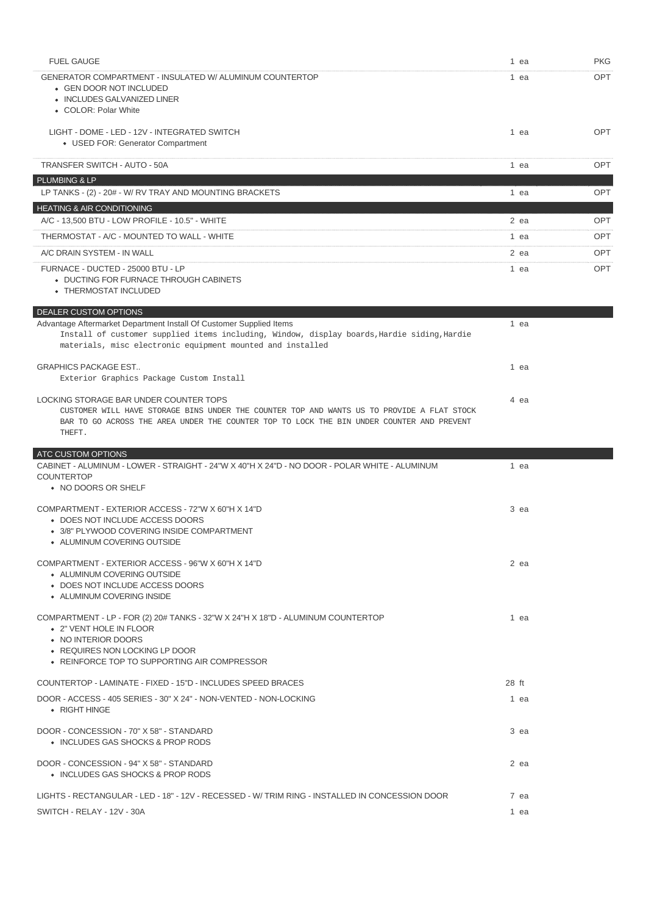| <b>FUEL GAUGE</b>                                                                                                                                                                                                                           | 1 ea   | <b>PKG</b> |
|---------------------------------------------------------------------------------------------------------------------------------------------------------------------------------------------------------------------------------------------|--------|------------|
| GENERATOR COMPARTMENT - INSULATED W/ ALUMINUM COUNTERTOP<br>• GEN DOOR NOT INCLUDED<br>• INCLUDES GALVANIZED LINER<br>• COLOR: Polar White                                                                                                  | 1 ea   | <b>OPT</b> |
| LIGHT - DOME - LED - 12V - INTEGRATED SWITCH<br>• USED FOR: Generator Compartment                                                                                                                                                           | 1 ea   | <b>OPT</b> |
| TRANSFER SWITCH - AUTO - 50A                                                                                                                                                                                                                | $1$ ea | <b>OPT</b> |
| PLUMBING & LP                                                                                                                                                                                                                               |        |            |
| LP TANKS - (2) - 20# - W/ RV TRAY AND MOUNTING BRACKETS                                                                                                                                                                                     | 1 ea   | OPT        |
| <b>HEATING &amp; AIR CONDITIONING</b><br>A/C - 13,500 BTU - LOW PROFILE - 10.5" - WHITE                                                                                                                                                     | 2 ea   | OPT        |
| THERMOSTAT - A/C - MOUNTED TO WALL - WHITE                                                                                                                                                                                                  | 1 ea   | <b>OPT</b> |
| A/C DRAIN SYSTEM - IN WALL                                                                                                                                                                                                                  | 2 ea   | <b>OPT</b> |
| FURNACE - DUCTED - 25000 BTU - LP<br>• DUCTING FOR FURNACE THROUGH CABINETS<br>• THERMOSTAT INCLUDED                                                                                                                                        | 1 ea   | <b>OPT</b> |
| DEALER CUSTOM OPTIONS                                                                                                                                                                                                                       |        |            |
| Advantage Aftermarket Department Install Of Customer Supplied Items<br>Install of customer supplied items including, Window, display boards, Hardie siding, Hardie<br>materials, misc electronic equipment mounted and installed            | 1 ea   |            |
| <b>GRAPHICS PACKAGE EST</b><br>Exterior Graphics Package Custom Install                                                                                                                                                                     | 1 ea   |            |
| LOCKING STORAGE BAR UNDER COUNTER TOPS<br>CUSTOMER WILL HAVE STORAGE BINS UNDER THE COUNTER TOP AND WANTS US TO PROVIDE A FLAT STOCK<br>BAR TO GO ACROSS THE AREA UNDER THE COUNTER TOP TO LOCK THE BIN UNDER COUNTER AND PREVENT<br>THEFT. | 4 ea   |            |
| ATC CUSTOM OPTIONS                                                                                                                                                                                                                          |        |            |
| CABINET - ALUMINUM - LOWER - STRAIGHT - 24"W X 40"H X 24"D - NO DOOR - POLAR WHITE - ALUMINUM<br><b>COUNTERTOP</b><br>• NO DOORS OR SHELF                                                                                                   | 1 ea   |            |
| COMPARTMENT - EXTERIOR ACCESS - 72"W X 60"H X 14"D<br>• DOES NOT INCLUDE ACCESS DOORS<br>• 3/8" PLYWOOD COVERING INSIDE COMPARTMENT<br>• ALUMINUM COVERING OUTSIDE                                                                          | 3 ea   |            |
| COMPARTMENT - EXTERIOR ACCESS - 96"W X 60"H X 14"D<br>• ALUMINUM COVERING OUTSIDE                                                                                                                                                           | 2 ea   |            |
| • DOES NOT INCLUDE ACCESS DOORS<br>• ALUMINUM COVERING INSIDE                                                                                                                                                                               |        |            |
| COMPARTMENT - LP - FOR (2) 20# TANKS - 32"W X 24"H X 18"D - ALUMINUM COUNTERTOP<br>• 2" VENT HOLE IN FLOOR<br>• NO INTERIOR DOORS<br>• REQUIRES NON LOCKING LP DOOR<br>• REINFORCE TOP TO SUPPORTING AIR COMPRESSOR                         | 1 ea   |            |
| COUNTERTOP - LAMINATE - FIXED - 15"D - INCLUDES SPEED BRACES                                                                                                                                                                                | 28 ft  |            |
| DOOR - ACCESS - 405 SERIES - 30" X 24" - NON-VENTED - NON-LOCKING<br>• RIGHT HINGE                                                                                                                                                          | 1 ea   |            |
| DOOR - CONCESSION - 70" X 58" - STANDARD<br>• INCLUDES GAS SHOCKS & PROP RODS                                                                                                                                                               | 3 ea   |            |
| DOOR - CONCESSION - 94" X 58" - STANDARD<br>• INCLUDES GAS SHOCKS & PROP RODS                                                                                                                                                               | 2 ea   |            |
| LIGHTS - RECTANGULAR - LED - 18" - 12V - RECESSED - W/TRIM RING - INSTALLED IN CONCESSION DOOR                                                                                                                                              | 7 ea   |            |